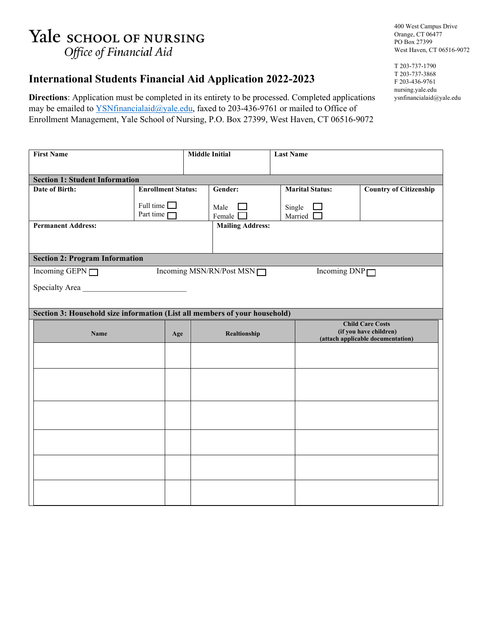## Yale school of NURSING Office of Financial Aid

400 West Campus Drive Orange, CT 06477 PO Box 27399 West Haven, CT 06516-9072

## **International Students Financial Aid Application 2022-2023**

**Directions**: Application must be completed in its entirety to be processed. Completed applications may be emailed to **YSNfinancialaid@yale.edu**, faxed to 203-436-9761 or mailed to Office of Enrollment Management, Yale School of Nursing, P.O. Box 27399, West Haven, CT 06516-9072

| <b>First Name</b>                                                          |                           | <b>Middle Initial</b> |                         | <b>Last Name</b> |                                                             |                               |  |  |  |
|----------------------------------------------------------------------------|---------------------------|-----------------------|-------------------------|------------------|-------------------------------------------------------------|-------------------------------|--|--|--|
|                                                                            |                           |                       |                         |                  |                                                             |                               |  |  |  |
| <b>Section 1: Student Information</b>                                      |                           |                       |                         |                  |                                                             |                               |  |  |  |
| Date of Birth:                                                             | <b>Enrollment Status:</b> |                       | Gender:                 |                  | <b>Marital Status:</b>                                      | <b>Country of Citizenship</b> |  |  |  |
|                                                                            | Full time $\Box$          |                       | Male                    |                  | Single                                                      |                               |  |  |  |
|                                                                            | Part time $\Box$          |                       | Female <sup>[</sup>     |                  | Married [                                                   |                               |  |  |  |
| <b>Permanent Address:</b>                                                  |                           |                       | <b>Mailing Address:</b> |                  |                                                             |                               |  |  |  |
|                                                                            |                           |                       |                         |                  |                                                             |                               |  |  |  |
|                                                                            |                           |                       |                         |                  |                                                             |                               |  |  |  |
| <b>Section 2: Program Information</b>                                      |                           |                       |                         |                  |                                                             |                               |  |  |  |
| Incoming GEPN<br>Incoming MSN/RN/Post MSN                                  |                           |                       | Incoming $DNP \Box$     |                  |                                                             |                               |  |  |  |
| Specialty Area                                                             |                           |                       |                         |                  |                                                             |                               |  |  |  |
|                                                                            |                           |                       |                         |                  |                                                             |                               |  |  |  |
| Section 3: Household size information (List all members of your household) |                           |                       |                         |                  |                                                             |                               |  |  |  |
|                                                                            |                           |                       |                         |                  |                                                             | <b>Child Care Costs</b>       |  |  |  |
| Name                                                                       | Age                       |                       | Realtionship            |                  | (if you have children)<br>(attach applicable documentation) |                               |  |  |  |
|                                                                            |                           |                       |                         |                  |                                                             |                               |  |  |  |
|                                                                            |                           |                       |                         |                  |                                                             |                               |  |  |  |
|                                                                            |                           |                       |                         |                  |                                                             |                               |  |  |  |
|                                                                            |                           |                       |                         |                  |                                                             |                               |  |  |  |
|                                                                            |                           |                       |                         |                  |                                                             |                               |  |  |  |
|                                                                            |                           |                       |                         |                  |                                                             |                               |  |  |  |
|                                                                            |                           |                       |                         |                  |                                                             |                               |  |  |  |
|                                                                            |                           |                       |                         |                  |                                                             |                               |  |  |  |
|                                                                            |                           |                       |                         |                  |                                                             |                               |  |  |  |
|                                                                            |                           |                       |                         |                  |                                                             |                               |  |  |  |
|                                                                            |                           |                       |                         |                  |                                                             |                               |  |  |  |
|                                                                            |                           |                       |                         |                  |                                                             |                               |  |  |  |
|                                                                            |                           |                       |                         |                  |                                                             |                               |  |  |  |
|                                                                            |                           |                       |                         |                  |                                                             |                               |  |  |  |

T 203-737-1790 T 203-737-3868 F 203-436-9761 nursing.yale.edu ysnfinancialaid@yale.edu